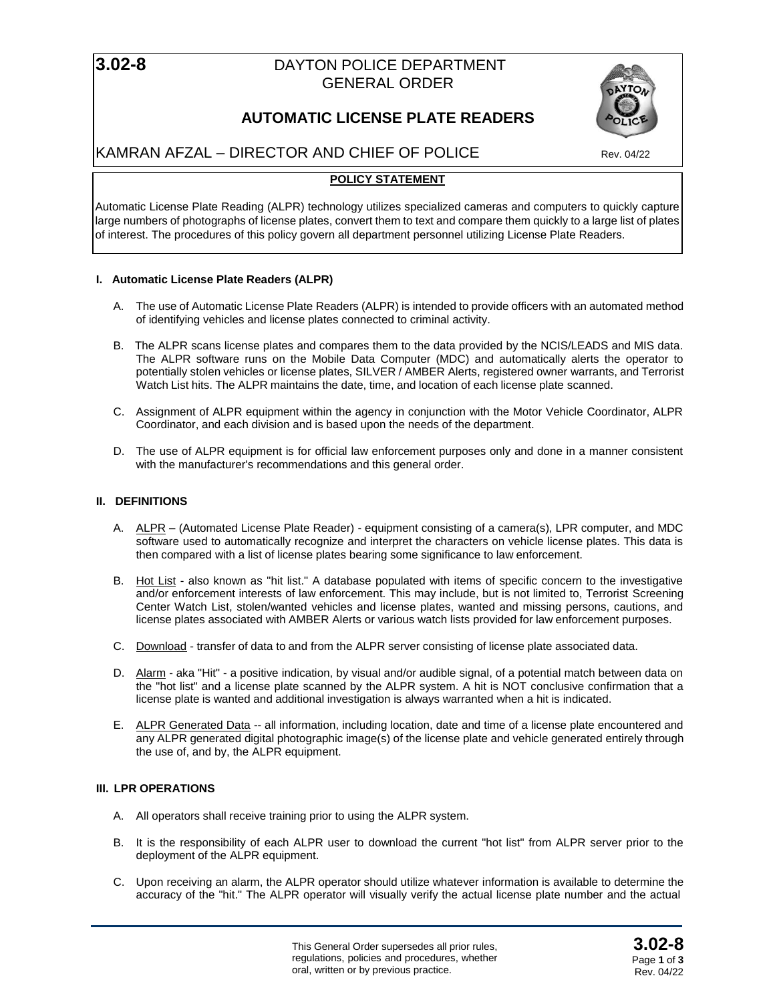# **3.02-8** DAYTON POLICE DEPARTMENT GENERAL ORDER





# KAMRAN AFZAL – DIRECTOR AND CHIEF OF POLICE Rev. 04/22

# **POLICY STATEMENT**

Automatic License Plate Reading (ALPR) technology utilizes specialized cameras and computers to quickly capture large numbers of photographs of license plates, convert them to text and compare them quickly to a large list of plates of interest. The procedures of this policy govern all department personnel utilizing License Plate Readers.

## **I. Automatic License Plate Readers (ALPR)**

- A. The use of Automatic License Plate Readers (ALPR) is intended to provide officers with an automated method of identifying vehicles and license plates connected to criminal activity.
- B. The ALPR scans license plates and compares them to the data provided by the NCIS/LEADS and MIS data. The ALPR software runs on the Mobile Data Computer (MDC) and automatically alerts the operator to potentially stolen vehicles or license plates, SILVER / AMBER Alerts, registered owner warrants, and Terrorist Watch List hits. The ALPR maintains the date, time, and location of each license plate scanned.
- C. Assignment of ALPR equipment within the agency in conjunction with the Motor Vehicle Coordinator, ALPR Coordinator, and each division and is based upon the needs of the department.
- D. The use of ALPR equipment is for official law enforcement purposes only and done in a manner consistent with the manufacturer's recommendations and this general order.

## **II. DEFINITIONS**

- A. ALPR (Automated License Plate Reader) equipment consisting of a camera(s), LPR computer, and MDC software used to automatically recognize and interpret the characters on vehicle license plates. This data is then compared with a list of license plates bearing some significance to law enforcement.
- B. Hot List also known as "hit list." A database populated with items of specific concern to the investigative and/or enforcement interests of law enforcement. This may include, but is not limited to, Terrorist Screening Center Watch List, stolen/wanted vehicles and license plates, wanted and missing persons, cautions, and license plates associated with AMBER Alerts or various watch lists provided for law enforcement purposes.
- C. Download transfer of data to and from the ALPR server consisting of license plate associated data.
- D. Alarm aka "Hit" a positive indication, by visual and/or audible signal, of a potential match between data on the "hot list" and a license plate scanned by the ALPR system. A hit is NOT conclusive confirmation that a license plate is wanted and additional investigation is always warranted when a hit is indicated.
- E. ALPR Generated Data -- all information, including location, date and time of a license plate encountered and any ALPR generated digital photographic image(s) of the license plate and vehicle generated entirely through the use of, and by, the ALPR equipment.

# **III. LPR OPERATIONS**

- A. All operators shall receive training prior to using the ALPR system.
- B. It is the responsibility of each ALPR user to download the current "hot list" from ALPR server prior to the deployment of the ALPR equipment.
- C. Upon receiving an alarm, the ALPR operator should utilize whatever information is available to determine the accuracy of the "hit." The ALPR operator will visually verify the actual license plate number and the actual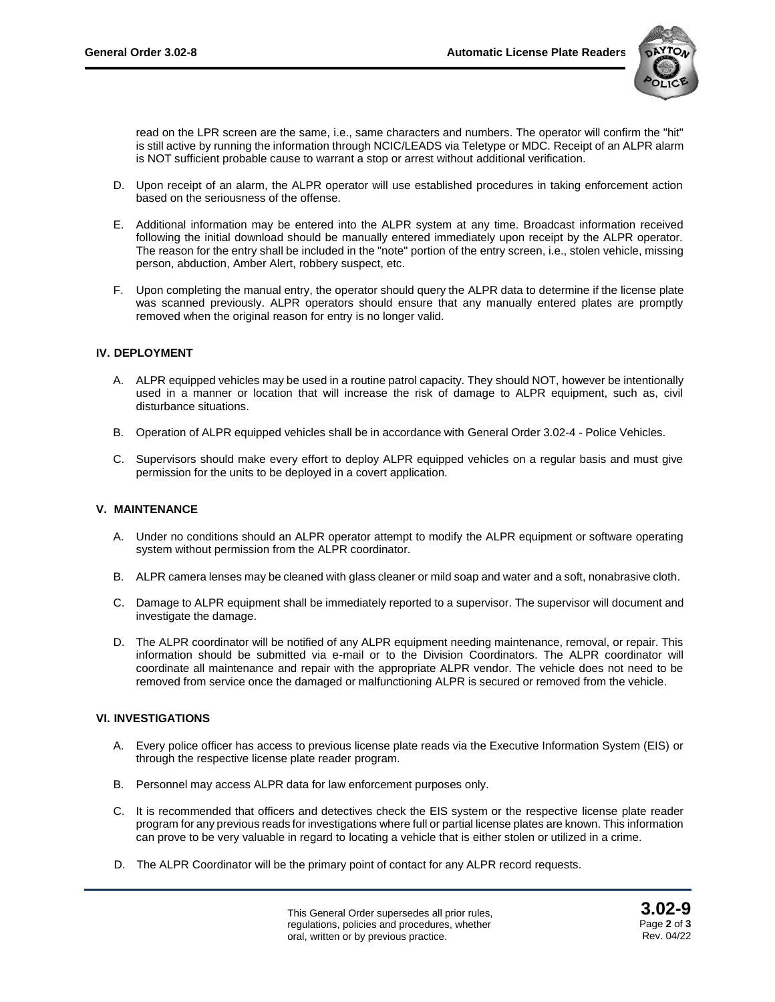

read on the LPR screen are the same, i.e., same characters and numbers. The operator will confirm the "hit" is still active by running the information through NCIC/LEADS via Teletype or MDC. Receipt of an ALPR alarm is NOT sufficient probable cause to warrant a stop or arrest without additional verification.

- D. Upon receipt of an alarm, the ALPR operator will use established procedures in taking enforcement action based on the seriousness of the offense.
- E. Additional information may be entered into the ALPR system at any time. Broadcast information received following the initial download should be manually entered immediately upon receipt by the ALPR operator. The reason for the entry shall be included in the "note" portion of the entry screen, i.e., stolen vehicle, missing person, abduction, Amber Alert, robbery suspect, etc.
- F. Upon completing the manual entry, the operator should query the ALPR data to determine if the license plate was scanned previously. ALPR operators should ensure that any manually entered plates are promptly removed when the original reason for entry is no longer valid.

### **IV. DEPLOYMENT**

- A. ALPR equipped vehicles may be used in a routine patrol capacity. They should NOT, however be intentionally used in a manner or location that will increase the risk of damage to ALPR equipment, such as, civil disturbance situations.
- B. Operation of ALPR equipped vehicles shall be in accordance with General Order 3.02-4 Police Vehicles.
- C. Supervisors should make every effort to deploy ALPR equipped vehicles on a regular basis and must give permission for the units to be deployed in a covert application.

#### **V. MAINTENANCE**

- A. Under no conditions should an ALPR operator attempt to modify the ALPR equipment or software operating system without permission from the ALPR coordinator.
- B. ALPR camera lenses may be cleaned with glass cleaner or mild soap and water and a soft, nonabrasive cloth.
- C. Damage to ALPR equipment shall be immediately reported to a supervisor. The supervisor will document and investigate the damage.
- D. The ALPR coordinator will be notified of any ALPR equipment needing maintenance, removal, or repair. This information should be submitted via e-mail or to the Division Coordinators. The ALPR coordinator will coordinate all maintenance and repair with the appropriate ALPR vendor. The vehicle does not need to be removed from service once the damaged or malfunctioning ALPR is secured or removed from the vehicle.

#### **VI. INVESTIGATIONS**

- A. Every police officer has access to previous license plate reads via the Executive Information System (EIS) or through the respective license plate reader program.
- B. Personnel may access ALPR data for law enforcement purposes only.
- C. It is recommended that officers and detectives check the EIS system or the respective license plate reader program for any previous reads for investigations where full or partial license plates are known. This information can prove to be very valuable in regard to locating a vehicle that is either stolen or utilized in a crime.
- D. The ALPR Coordinator will be the primary point of contact for any ALPR record requests.